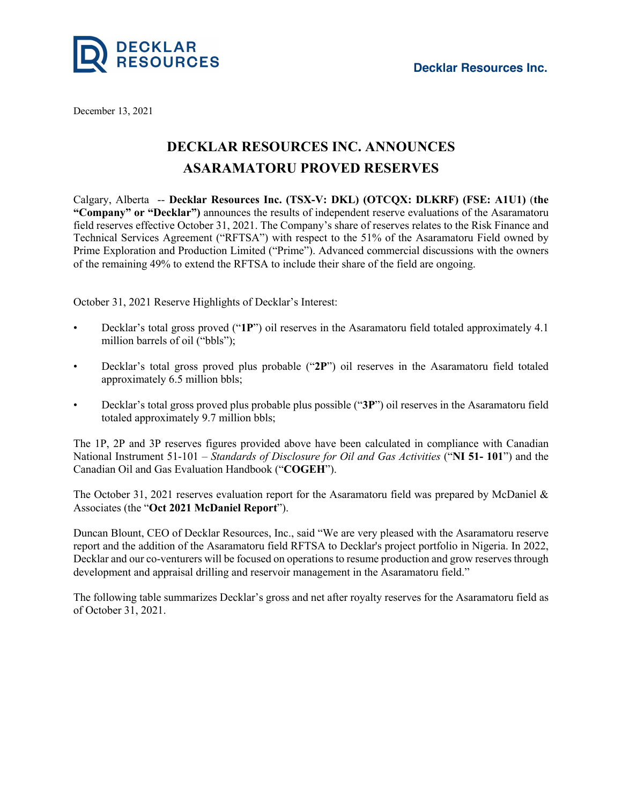

December 13, 2021

## **DECKLAR RESOURCES INC. ANNOUNCES ASARAMATORU PROVED RESERVES**

Calgary, Alberta -- **Decklar Resources Inc. (TSX-V: DKL) (OTCQX: DLKRF) (FSE: A1U1)** (**the "Company" or "Decklar")** announces the results of independent reserve evaluations of the Asaramatoru field reserves effective October 31, 2021. The Company's share of reserves relates to the Risk Finance and Technical Services Agreement ("RFTSA") with respect to the 51% of the Asaramatoru Field owned by Prime Exploration and Production Limited ("Prime"). Advanced commercial discussions with the owners of the remaining 49% to extend the RFTSA to include their share of the field are ongoing.

October 31, 2021 Reserve Highlights of Decklar's Interest:

- Decklar's total gross proved ("**1P**") oil reserves in the Asaramatoru field totaled approximately 4.1 million barrels of oil ("bbls");
- Decklar's total gross proved plus probable ("**2P**") oil reserves in the Asaramatoru field totaled approximately 6.5 million bbls;
- Decklar's total gross proved plus probable plus possible ("**3P**") oil reserves in the Asaramatoru field totaled approximately 9.7 million bbls;

The 1P, 2P and 3P reserves figures provided above have been calculated in compliance with Canadian National Instrument 51-101 – *Standards of Disclosure for Oil and Gas Activities* ("**NI 51- 101**") and the Canadian Oil and Gas Evaluation Handbook ("**COGEH**").

The October 31, 2021 reserves evaluation report for the Asaramatoru field was prepared by McDaniel & Associates (the "**Oct 2021 McDaniel Report**").

Duncan Blount, CEO of Decklar Resources, Inc., said "We are very pleased with the Asaramatoru reserve report and the addition of the Asaramatoru field RFTSA to Decklar's project portfolio in Nigeria. In 2022, Decklar and our co-venturers will be focused on operationsto resume production and grow reserves through development and appraisal drilling and reservoir management in the Asaramatoru field."

The following table summarizes Decklar's gross and net after royalty reserves for the Asaramatoru field as of October 31, 2021.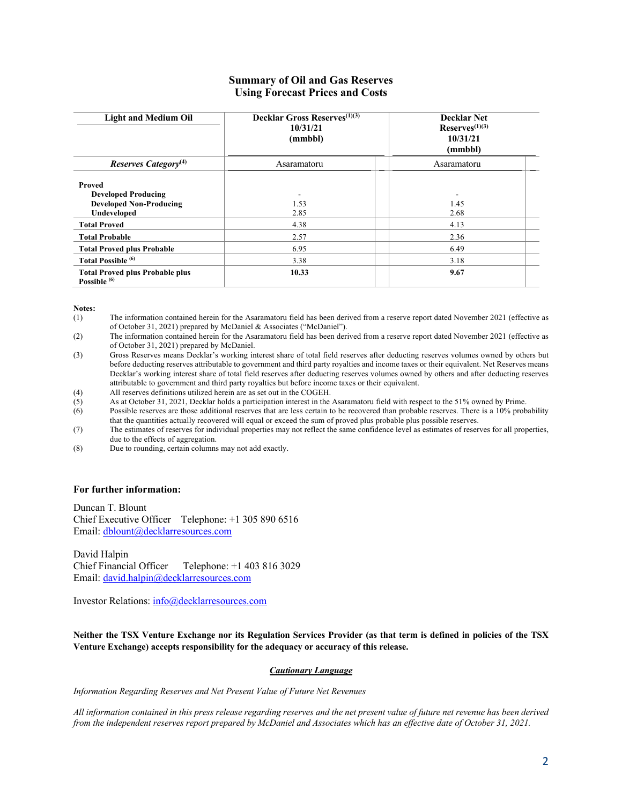## **Summary of Oil and Gas Reserves Using Forecast Prices and Costs**

| <b>Light and Medium Oil</b>                                                           | <b>Decklar Gross Reserves</b> <sup>(1)(3)</sup><br>10/31/21<br>(mmbbl) | <b>Decklar Net</b><br>$Reserves^{(1)(3)}$<br>10/31/21<br>(mmbbl) |
|---------------------------------------------------------------------------------------|------------------------------------------------------------------------|------------------------------------------------------------------|
| Reserves Category <sup>(4)</sup>                                                      | Asaramatoru                                                            | Asaramatoru                                                      |
| Proved<br><b>Developed Producing</b><br><b>Developed Non-Producing</b><br>Undeveloped | 1.53<br>2.85                                                           | 1.45<br>2.68                                                     |
| <b>Total Proved</b>                                                                   | 4.38                                                                   | 4.13                                                             |
| <b>Total Probable</b>                                                                 | 2.57                                                                   | 2.36                                                             |
| <b>Total Proved plus Probable</b>                                                     | 6.95                                                                   | 6.49                                                             |
| Total Possible <sup>(6)</sup>                                                         | 3.38                                                                   | 3.18                                                             |
| <b>Total Proved plus Probable plus</b><br>Possible <sup>(6)</sup>                     | 10.33                                                                  | 9.67                                                             |

**Notes:**

(1) The information contained herein for the Asaramatoru field has been derived from a reserve report dated November 2021 (effective as of October 31, 2021) prepared by McDaniel & Associates ("McDaniel").

(2) The information contained herein for the Asaramatoru field has been derived from a reserve report dated November 2021 (effective as of October 31, 2021) prepared by McDaniel.

(3) Gross Reserves means Decklar's working interest share of total field reserves after deducting reserves volumes owned by others but before deducting reserves attributable to government and third party royalties and income taxes or their equivalent. Net Reserves means Decklar's working interest share of total field reserves after deducting reserves volumes owned by others and after deducting reserves attributable to government and third party royalties but before income taxes or their equivalent.

(4) All reserves definitions utilized herein are as set out in the COGEH.<br>(5) As at October 31, 2021, Decklar holds a participation interest in the

As at October 31, 2021, Decklar holds a participation interest in the Asaramatoru field with respect to the 51% owned by Prime.

(6) Possible reserves are those additional reserves that are less certain to be recovered than probable reserves. There is a 10% probability that the quantities actually recovered will equal or exceed the sum of proved plus probable plus possible reserves.

(7) The estimates of reserves for individual properties may not reflect the same confidence level as estimates of reserves for all properties, due to the effects of aggregation.

(8) Due to rounding, certain columns may not add exactly.

## **For further information:**

Duncan T. Blount Chief Executive Officer Telephone: +1 305 890 6516 Email: dblount@decklarresources.com

David Halpin<br>Chief Financial Officer Telephone: +1 403 816 3029 Email: david.halpin@decklarresources.com

Investor Relations: info@decklarresources.com

Neither the TSX Venture Exchange nor its Regulation Services Provider (as that term is defined in policies of the TSX **Venture Exchange) accepts responsibility for the adequacy or accuracy of this release.**

## *Cautionary Language*

*Information Regarding Reserves and Net Present Value of Future Net Revenues*

All information contained in this press release regarding reserves and the net present value of future net revenue has been derived from the independent reserves report prepared by McDaniel and Associates which has an effective date of October 31, 2021.